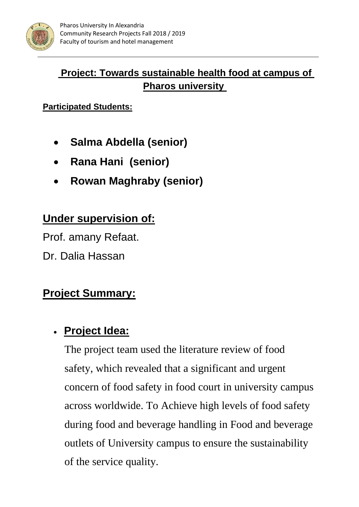

### **Project: Towards sustainable health food at campus of Pharos university**

**Participated Students:**

- **Salma Abdella (senior)**
- **Rana Hani (senior)**
- **Rowan Maghraby (senior)**

### **Under supervision of:**

Prof. amany Refaat.

Dr. Dalia Hassan

### **Project Summary:**

### • **Project Idea:**

The project team used the literature review of food safety, which revealed that a significant and urgent concern of food safety in food court in university campus across worldwide. To Achieve high levels of food safety during food and beverage handling in Food and beverage outlets of University campus to ensure the sustainability of the service quality.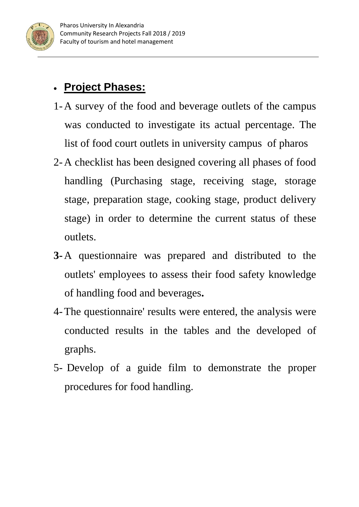

## • **Project Phases:**

- 1-A survey of the food and beverage outlets of the campus was conducted to investigate its actual percentage. The list of food court outlets in university campus of pharos
- 2-A checklist has been designed covering all phases of food handling (Purchasing stage, receiving stage, storage stage, preparation stage, cooking stage, product delivery stage) in order to determine the current status of these outlets.
- **3-**A questionnaire was prepared and distributed to the outlets' employees to assess their food safety knowledge of handling food and beverages**.**
- 4-The questionnaire' results were entered, the analysis were conducted results in the tables and the developed of graphs.
- 5- Develop of a guide film to demonstrate the proper procedures for food handling.